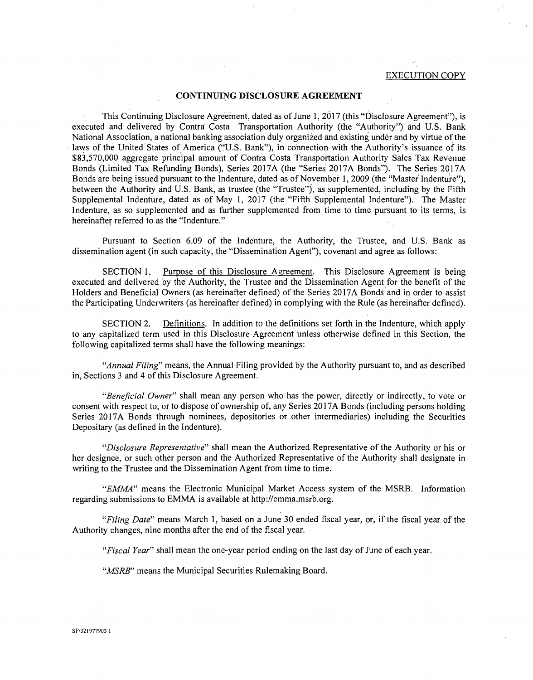## EXECUTION COPY

## CONTINUING DISCLOSURE AGREEMENT

This Continuing Disclosure Agreement, dated as of June 1, 2017 (this "Disclosure Agreement"), is executed and delivered by Contra Costa Transportation Authority (the "Authority") and U.S. Bank National Association, a national banking association duly organized and existing under and by virtue of the laws of the United States of America ("U.S. Bank"), in connection with the Authority's issuance of its \$83,570,000 aggregate principal amount of Contra Costa Transportation Authority Sales Tax Revenue Bonds (Limited Tax Refunding Bonds), Series 2017A (the "Series 2017A Bonds"). The Series 2017A Bonds are being issued pursuant to the Indenture, dated as of November 1, 2009 (the "Master Indenture"), between the Authority and U.S. Bank, as trustee (the "Trustee"), as supplemented, including by the Fifth Supplemental Indenture, dated as of May 1, 2017 (the "Fifth Supplemental Indenture"). The Master Indenture, as so supplemented and as further supplemented from time to time pursuant to its terms, is hereinafter referred to as the "Indenture."

Pursuant to Section 6.09 of the Indenture, the Authority, the Trustee, and U.S. Bank as dissemination agent (in such capacity, the "Dissemination Agent"), covenant and agree as follows:

SECTION 1. Purpose of this Disclosure Agreement. This Disclosure Agreement is being executed and delivered by the Authority, the Trustee and the Dissemination Agent for the benefit of the Holders and Beneficial Owners (as hereinafter defined) of the Series 2017A Bonds and in order to assist the Participating Underwriters (as hereinafter defined) in complying with the Rule (as hereinafter defined).

SECTION 2. Definitions. In addition to the definitions set forth in the Indenture, which apply to any capitalized term used in this Disclosure Agreement unless otherwise defined in this Section, the following capitalized terms shall have the following meanings:

"Annual Filing" means, the Annual Filing provided by the Authority pursuant to, and as described in, Sections 3 and 4 of this Disclosure Agreement.

"Beneficial Owner" shall mean any person who has the power, directly or indirectly, to vote or consent with respect to, or to dispose of ownership of, any Series 2017A Bonds (including persons holding Series 2017A Bonds through nominees, depositories or other intermediaries) including the Securities Depositary (as defined in the Indenture).

"Disclosure Representative" shall mean the Authorized Representative of the Authority or his or her designee, or such other person and the Authorized Representative of the Authority shall designate in writing to the Trustee and the Dissemination Agent from time to time.

"EMMA" means the Electronic Municipal Market Access system of the MSRB. Information regarding submissions to EMMA is available at http://emma.msrb.org.

"Filing Date" means March 1, based on a June 30 ended fiscal year, or, if the fiscal year of the Authority changes, nine months after the end of the fiscal year.

"Fiscal Year" shall mean the one-year period ending on the last day of June of each year.

"MSRB" means the Municipal Securities Rulemaking Board.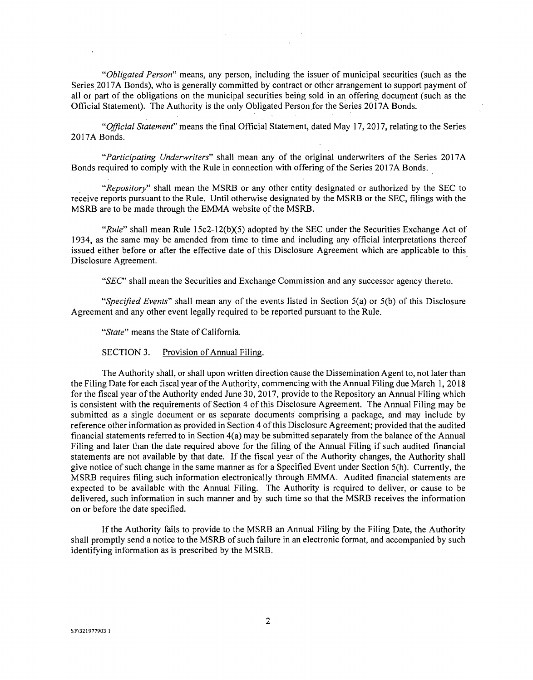"Obligated Person" means, any person, including the issuer of municipal securities (such as the Series 2017A Bonds), who is generally committed by contract or other arrangement to support payment of all or part of the obligations on the municipal securities being sold in an offering document (such as the Official Statement). The Authority is the only Obligated Person for the Series 2017A Bonds.

"Official Statement" means the final Official Statement, dated May 17, 2017, relating to the Series 2017A Bonds.

"Participating Underwriters" shall mean any of the original underwriters of the Series 2017A Bonds required to comply with the Rule in connection with offering of the Series 2017A Bonds.

"Repository" shall mean the MSRB or any other entity designated or authorized by the SEC to receive reports pursuant to the Rule. Until otherwise designated by the MSRB or the SEC, filings with the MSRB are to be made through the EMMA website of the MSRB.

"Rule" shall mean Rule  $15c2-12(b)(5)$  adopted by the SEC under the Securities Exchange Act of 1934, as the same may be amended from time to time and including any official interpretations thereof issued either before or after the effective date of this Disclosure Agreement which are applicable to this Disclosure Agreement.

"SEC" shall mean the Securities and Exchange Commission and any successor agency thereto.

"Specified Events" shall mean any of the events listed in Section  $5(a)$  or  $5(b)$  of this Disclosure Agreement and any other event legally required to be reported pursuant to the Rule.

"State" means the State of California.

SECTION 3. Provision of Annual Filing.

The Authority shall, or shall upon written direction cause the Dissemination Agent to, not later than the Filing Date for each fiscal year of the Authority, commencing with the Annual Filing due March 1, 2018 for the fiscal year of the Authority ended June 30, 2017, provide to the Repository an Annual Filing which is consistent with the requirements of Section 4 of this Disclosure Agreement. The Annual Filing may be submitted as a single document or as separate documents comprising a package, and may include by reference other information as provided in Section 4 of this Disclosure Agreement; provided that the audited financial statements referred to in Section 4(a) may be submitted separately from the balance of the Annual Filing and later than the date required above for the filing of the Annual Filing if such audited financial statements are not available by that date. If the fiscal year of the Authority changes, the Authority shall give notice of such change in the same manner as for a Specified Event under Section 5(h). Currently, the MSRB requires filing such information electronically through EMMA. Audited financial statements are expected to be available with the Annual Filing. The Authority is required to deliver, or cause to be delivered, such information in such manner and by such time so that the MSRB receives the information on or before the date specified.

If the Authority fails to provide to the MSRB an Annual Filing by the Filing Date, the Authority shall promptly send a notice to the MSRB of such failure in an electronic format, and accompanied by such identifying information as is prescribed by the MSRB.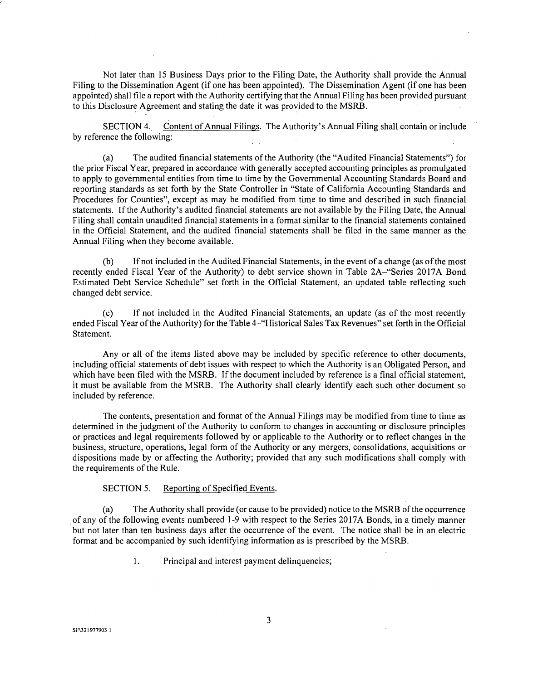Not later than 15 Business Days prior to the Filing Date, the Authority shall provide the Annual Filing to the Dissemination Agent (if one has been appointed). The Dissemination Agent (if one has been appointed) shall file a report with the Authority certifying that the Annual Filing has been provided pursuant to this Disclosure Agreement and stating the date it was provided to the MSRB.

SECTION 4. Content of Annual Filings. The Authority's Annual Filing shall contain or include by reference the following:

(a) The audited financial statements of the Authority (the "Audited Financial Statements") for the prior Fiscal Year, prepared in accordance with generally accepted accounting principles as promulgated to apply to governmental entities from time to time by the Governmental Accounting Standards Board and reporting standards as set forth by the State Controller in "State of California Accounting Standards and Procedures for Counties", except as may be modified from time to time and described in such financial statements. If the Authority's audited financial statements are not available by the Filing Date, the Annual Filing shall contain unaudited financial statements in a format similar to the financial statements contained in the Official Statement, and the audited financial statements shall be filed in the same manner as the Annual Filing when they become available.

(b) If not included in the Audited Financial Statements, in the event of a change (as of the most recently ended Fiscal Year of the Authority) to debt service shown in Table 2A-"Series 2017A Bond Estimated Debt Service Schedule" set forth in the Official Statement, an updated table reflecting such changed debt service.

(c) If not included in the Audited Financial Statements, an update (as of the most recently ended Fiscal Year of the Authority) for the Table 4-"Historical Sales Tax Revenues" set forth in the Official Statement.

Any or all of the items listed above may be included by specific reference to other documents, including official statements of debt issues with respect to which the Authority is an Obligated Person, and which have been filed with the MSRB. If the document included by reference is a final official statement, it must be available from the MSRB. The Authority shall clearly identify each such other document so included by reference.

The contents, presentation and format of the Annual Filings may be modified from time to time as determined in the judgment of the Authority to conform to changes in accounting or disclosure principles or practices and legal requirements followed by or applicable to the Authority or to reflect changes in the business, structure, operations, legal form of the Authority or any mergers, consolidations, acquisitions or dispositions made by or affecting the Authority; provided that any such modifications shall comply with the requirements of the Rule.

## SECTION 5. Reporting of Specified Events.

(a) The Authority shall provide (or cause to be provided) notice to the MSRB of the occurrence of any of the following events numbered 1-9 with respect to the Series 2017A Bonds, in a timely manner but not later than ten business days after the occurrence of the event. The notice shall be in an electric format and be accompanied by such identifying information as is prescribed by the MSRB.

1. Principal and interest payment delinquencies;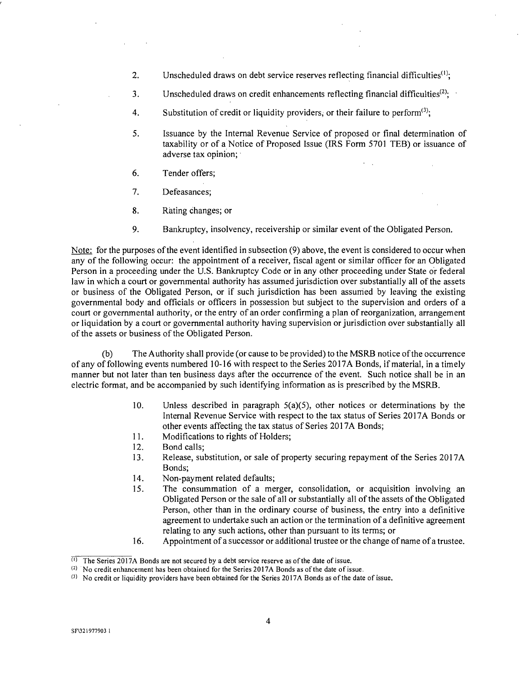- 2. Unscheduled draws on debt service reserves reflecting financial difficulties<sup> $(1)$ </sup>;
- 3. Unscheduled draws on credit enhancements reflecting financial difficulties<sup>(2)</sup>;
- 4. Substitution of credit or liquidity providers, or their failure to perform<sup>(3)</sup>;
- 5. Issuance by the Internal Revenue Service of proposed or final determination of taxability or of a Notice of Proposed Issue (IRS Form 5701 TEB) or issuance of adverse tax opinion;
- 6. Tender offers;
- 7. Defeasances;
- 8. Rating changes; or
- 9. Bankruptcy, insolvency, receivership or similar event of the Obligated Person.

Note: for the purposes of the event identified in subsection (9) above, the event is considered to occur when any of the following occur: the appointment of a receiver, fiscal agent or similar officer for an Obligated Person in a proceeding under the U.S. Bankruptcy Code or in any other proceeding under State or federal law in which a court or governmental authority has assumed jurisdiction over substantially all of the assets or business of the Obligated Person, or if such jurisdiction has been assumed by leaving the existing governmental body and officials or officers in possession but subject to the supervision and orders of a court or governmental authority, or the entry of an order confirming a plan of reorganization, arrangement or liquidation by a court or governmental authority having supervision or jurisdiction over substantially all of the assets or business of the Obligated Person.

(b) The Authority shall provide (or cause to be provided) to the MSRB notice of the occurrence of any of following events numbered 10-16 with respect to the Series 2017A Bonds, if material, in a timely manner but not later than ten business days after the occurrence of the event. Such notice shall be in an electric format, and be accompanied by such identifying information as is prescribed by the MSRB.

- 10. Unless described in paragraph  $5(a)(5)$ , other notices or determinations by the Internal Revenue Service with respect to the tax status of Series 2017A Bonds or other events affecting the tax status of Series 2017A Bonds;
- 11. Modifications to rights of Holders;
- 12. Bond calls;
- 13. Release, substitution, or sale of property securing repayment of the Series 2017A Bonds;
- 14. Non-payment related defaults;
- 15. The consummation of a merger, consolidation, or acquisition involving an Obligated Person or the sale of all or substantially all of the assets of the Obligated Person, other than in the ordinary course of business, the entry into a definitive agreement to undertake such an action or the termination of a definitive agreement relating to any such actions, other than pursuant to its terms; or
- 16. Appointment of a successor or additional trustee or the change of name of a trustee.

 $\overline{1}$  The Series 2017A Bonds are not secured by a debt service reserve as of the date of issue.

 $(2)$  No credit enhancement has been obtained for the Series 2017A Bonds as of the date of issue.

 $(3)$  No credit or liquidity providers have been obtained for the Series 2017A Bonds as of the date of issue.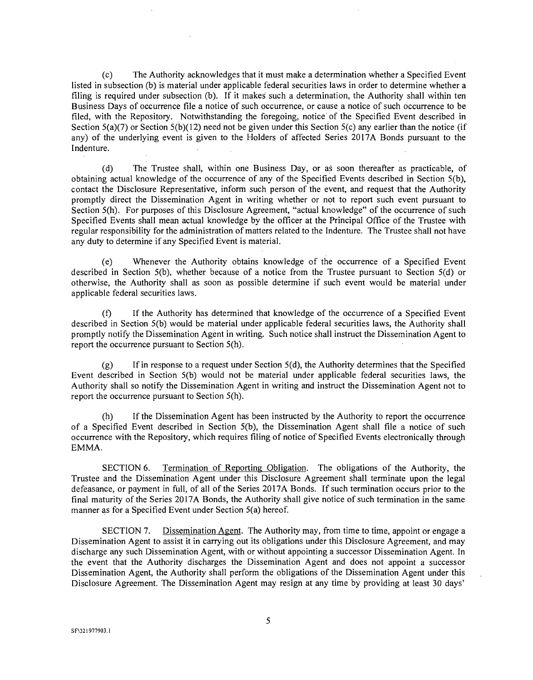(c) The Authority acknowledges that it must make a determination whether a Specified Event listed in subsection (b) is material under applicable federal securities laws in order to determine whether a filing is required under subsection (b). If it makes such a determination, the Authority shall within ten Business Days of occurrence file a notice of such occurrence, or cause a notice of such occurrence to be filed, with the Repository. Notwithstanding the foregoing, notice of the Specified Event described in Section  $S(a)(7)$  or Section  $S(b)(12)$  need not be given under this Section  $S(c)$  any earlier than the notice (if any) of the underlying event is given to the Holders of affected Series 2017A Bonds pursuant to the Indenture.

(d) The Trustee shall, within one Business Day, or as soon thereafter as practicable, of obtaining actual knowledge of the occurrence of any of the Specified Events described in Section 5(b), contact the Disclosure Representative, inform such person of the event, and request that the Authority promptly direct the Dissemination Agent in writing whether or not to report such event pursuant to Section 5(h). For purposes of this Disclosure Agreement, "actual knowledge" of the occurrence of such Specified Events shall mean actual knowledge by the officer at the Principal Office of the Trustee with regular responsibility for the administration of matters related to the Indenture. The Trustee shall not have any duty to determine if any Specified Event is material.

(e) Whenever the Authority obtains knowledge of the occurrence of a Specified Event described in Section 5(b), whether because of a notice from the Trustee pursuant to Section 5(d) or otherwise, the Authority shall as soon as possible determine if such event would be material under applicable federal securities laws.

(f) If the Authority has determined that knowledge of the occurrence of a Specified Event described in Section 5(b) would be material under applicable federal securities laws, the Authority shall promptly notify the Dissemination Agent in writing. Such notice shall instruct the Dissemination Agent to report the occurrence pursuant to Section 5(h).

 $(g)$  If in response to a request under Section  $5(d)$ , the Authority determines that the Specified Event described in Section 5(b) would not be material under applicable federal securities laws, the Authority shall so notify the Dissemination Agent in writing and instruct the Dissemination Agent not to report the occurrence pursuant to Section 5(h).

(h) If the Dissemination Agent has been instructed by the Authority to report the occurrence of a Specified Event described in Section  $5(b)$ , the Dissemination Agent shall file a notice of such occurrence with the Repository, which requires filing of notice of Specified Events electronically through EMMA.

SECTION 6. Termination of Reporting Obligation. The obligations of the Authority, the Trustee and the Dissemination Agent under this Disclosure Agreement shall terminate upon the legal defeasance, or payment in full, of all of the Series 2017A Bonds. If such termination occurs prior to the final maturity of the Series 2017A Bonds, the Authority shall give notice of such termination in the same manner as for a Specified Event under Section 5(a) hereof.

SECTION 7. Dissemination Agent. The Authority may, from time to time, appoint or engage a Dissemination Agent to assist it in carrying out its obligations under this Disclosure Agreement, and may discharge any such Dissemination Agent, with or without appointing a successor Dissemination Agent. In the event that the Authority discharges the Dissemination Agent and does not appoint a successor Dissemination Agent, the Authority shall perform the obligations of the Dissemination Agent under this Disclosure Agreement. The Dissemination Agent may resign at any time by providing at least 30 days'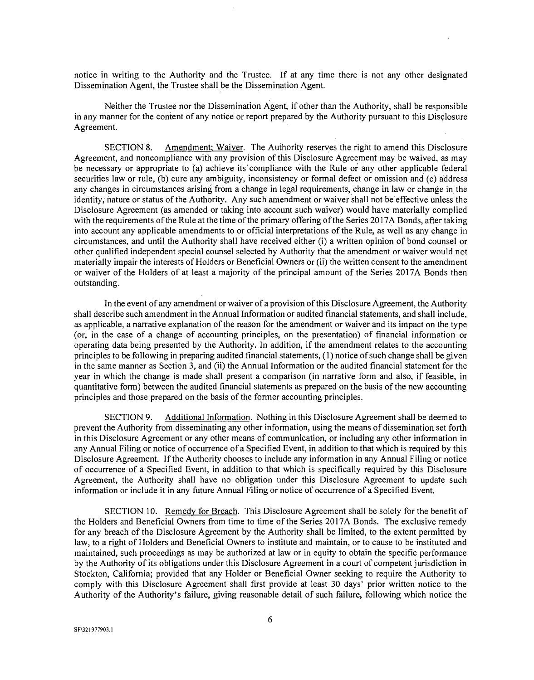notice in writing to the Authority and the Trustee. If at any time there is not any other designated Dissemination Agent, the Trustee shall be the Dissemination Agent.

Neither the Trustee nor the Dissemination Agent, if other than the Authority, shall be responsible in any manner for the content of any notice or report prepared by the Authority pursuant to this Disclosure Agreement.

SECTION 8. Amendment; Waiver. The Authority reserves the right to amend this Disclosure Agreement, and noncompliance with any provision of this Disclosure Agreement may be waived, as may be necessary or appropriate to (a) achieve its' compliance with the Rule or any other applicable federal securities law or rule, (b) cure any ambiguity, inconsistency or formal defect or omission and (c) address any changes in circumstances arising from a change in legal requirements, change in law or change in the identity, nature or status of the Authority. Any such amendment or waiver shall not be effective unless the Disclosure Agreement (as amended or taking into account such waiver) would have materially complied with the requirements of the Rule at the time of the primary offering of the Series 2017A Bonds, after taking into account any applicable amendments to or official interpretations of the Rule, as well as any change in circumstances, and until the Authority shall have received either (i) a written opinion of bond counsel or other qualified independent special counsel selected by Authority that the amendment or waiver would not materially impair the interests of Holders or Beneficial Owners or (ii) the written consent to the amendment or waiver of the Holders of at least a majority of the principal amount of the Series 2017A Bonds then outstanding.

In the event of any amendment or waiver of a provision of this Disclosure Agreement, the Authority shall describe such amendment in the Annual Information or audited financial statements, and shall include, as applicable, a narrative explanation of the reason for the amendment or waiver and its impact on the type (or, in the case of a change of accounting principles, on the presentation) of financial information or operating data being presented by the Authority. In addition, if the amendment relates to the accounting principles to be following in preparing audited financial statements, (1) notice of such change shall be given in the same manner as Section 3, and (ii) the Annual Information or the audited financial statement for the year in which the change is made shall present a comparison (in narrative form and also, if feasible, in quantitative form) between the audited financial statements as prepared on the basis of the new accounting principles and those prepared on the basis of the former accounting principles.

SECTION 9. Additional Information. Nothing in this Disclosure Agreement shall be deemed to prevent the Authority from disseminating any other information, using the means of dissemination set forth in this Disclosure Agreement or any other means of communication, or including any other information in any Annual Filing or notice of occurrence of a Specified Event, in addition to that which is required by this Disclosure Agreement. If the Authority chooses to include any information in any Annual Filing or notice of occurrence of a Specified Event, in addition to that which is specifically required by this Disclosure Agreement, the Authority shall have no obligation under this Disclosure Agreement to update such information or include it in any future Annual Filing or notice of occurrence of a Specified Event.

SECTION 10. Remedy for Breach. This Disclosure Agreement shall be solely for the benefit of the Holders and Beneficial Owners from time to time of the Series 2017A Bonds. The exclusive remedy for any breach of the Disclosure Agreement by the Authority shall be limited, to the extent permitted by law, to a right of Holders and Beneficial Owners to institute and maintain, or to cause to be instituted and maintained, such proceedings as may be authorized at law or in equity to obtain the specific performance by the Authority of its obligations under this Disclosure Agreement in a court of competent jurisdiction in Stockton, California; provided that any Holder or Beneficial Owner seeking to require the Authority to comply with this Disclosure Agreement shall first provide at least 30 days' prior written notice to the Authority of the Authority's failure, giving reasonable detail of such failure, following which notice the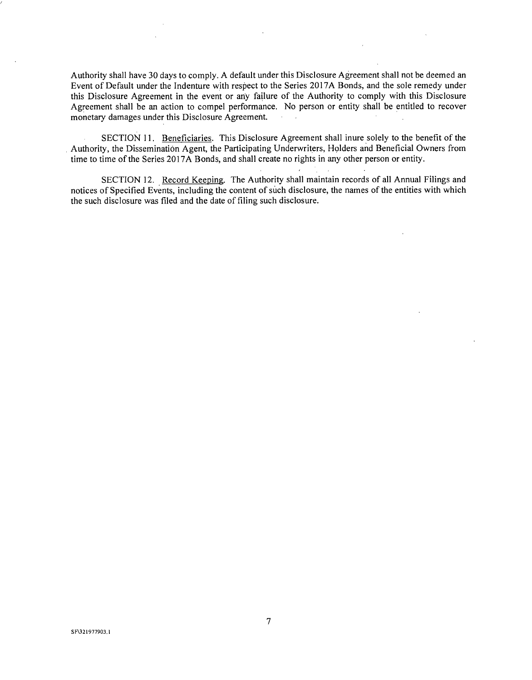Authority shall have 30 days to comply. A default under this Disclosure Agreement shall not be deemed an Event of Default under the Indenture with respect to the Series 2017A Bonds, and the sole remedy under this Disclosure Agreement in the event or any failure of the Authority to comply with this Disclosure Agreement shall be an action to compel performance. No person or entity shall be entitled to recover monetary damages under this Disclosure Agreement.

SECTION 11. Beneficiaries. This Disclosure Agreement shall inure solely to the benefit of the Authority, the Dissemination Agent, the Participating Underwriters, Holders and Beneficial Owners from time to time of the Series 2017A Bonds, and shall create no rights in any other person or entity.

SECTION 12. Record Keeping. The Authority shall maintain records of all Annual Filings and notices of Specified Events, including the content of such disclosure, the names of the entities with which the such disclosure was filed and the date of filing such disclosure.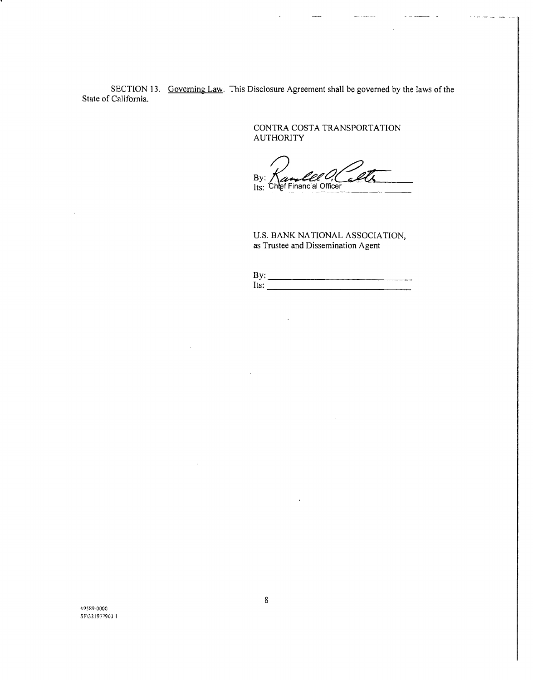SECTION 13, Governing Law. This Disclosure Agreement shall be governed by the laws of the State of California.

> CONTRA COSTA TRANSPORTATION AUTHORITY

By: Its: Chlef Financial Officer

U.S. BANK NATIONAL ASSOCIATION, as Trustee and Dissemination Agent

| 111<br>٠ |          |
|----------|----------|
| lte•     | ___<br>w |